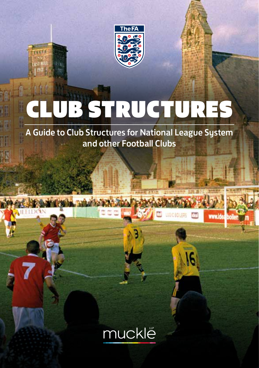

# UB STRUCTURES

A Guide to Club Structures for National League System and other Football Clubs

www.ide

16

興

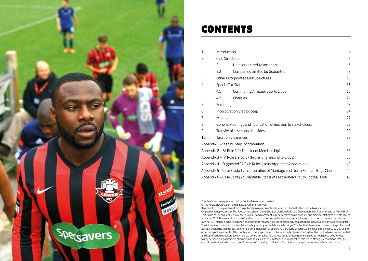

### CONTEN

| 1.                                                                                    | Introduction                                                        |                                |    |  |
|---------------------------------------------------------------------------------------|---------------------------------------------------------------------|--------------------------------|----|--|
| 2.                                                                                    |                                                                     | Club Structures                |    |  |
|                                                                                       | 2.1                                                                 | Unincorporated Associations    | 6  |  |
|                                                                                       | 2.2                                                                 | Companies Limited by Guarantee | 8  |  |
| 3.                                                                                    | Other Incorporated Club Structures<br>10                            |                                |    |  |
| Special Tax Status<br>4.                                                              |                                                                     |                                |    |  |
|                                                                                       | 4.1                                                                 | Community Amateur Sports Clubs | 18 |  |
|                                                                                       | 4.2                                                                 | Charities                      | 21 |  |
| 5.                                                                                    | 23<br>Summary                                                       |                                |    |  |
| 6.                                                                                    | 24<br>Incorporation Step by Step                                    |                                |    |  |
| 7.                                                                                    | Management                                                          |                                |    |  |
| 8.                                                                                    | General Meetings and notification of decision to stakeholders<br>28 |                                |    |  |
| 9.                                                                                    | Transfer of assets and liabilities<br>30                            |                                |    |  |
| 10.                                                                                   | <b>Taxation Clearances</b>                                          |                                |    |  |
| Appendix 1 – Step by Step Incorporation                                               |                                                                     |                                |    |  |
| Appendix 2 – FA Rule 2.9 (Transfer of Membership)                                     |                                                                     |                                |    |  |
| Appendix $3 - FA$ Rule I $2(b)(c)$ (Provisions relating to Clubs)                     |                                                                     |                                |    |  |
| Appendix 4 – Suggested FA Club Rules (Unincorporated Association)<br>40               |                                                                     |                                |    |  |
| Appendix 5 - Case Study 1: Incorporation of Montagu and North Fenham Boys Club<br>44  |                                                                     |                                |    |  |
| Appendix 6 - Case Study 2: Charitable Status of Leatherhead Youth Football Club<br>46 |                                                                     |                                |    |  |

This Guide has been prepared by The Football Association Limited.

© The Football Association Limited 2015. All rights reserved.

Reproduction of any material from this publication is permissible only when attributed to The Football Association.

Original content prepared for The Football Association Limited by its professional advisers, Charles Russell LLP, as amended by Muckle LLP. This Guide has been prepared in order to illustrate and comment in general terms only on the law and practice relating to club structures as at April 2015. However, please note that the subject matter covered is in no way exhaustive and the material does not stand on its own nor is it intended to be relied upon as a substitute for obtaining specific legal advice. Each club's individual circumstances will differ. The information contained in this publication is given in good faith but any liability of The Football Association Limited or its professional advisers (including their respective members or employees) to you or any third party which may arise out of the reliance by you or any other party of the contents of this publication is hereby excluded to the fullest extent permitted by law. The Football Association Limited and its professional advisers accept no duty of care or liability for any loss occasioned, whether caused by negligence or otherwise, to any person acting or refraining from actions as a result of any material in this publication. We would strongly recommend that you consult professional advisers on specific issues before acting or refraining from action on any of the contents of this publication.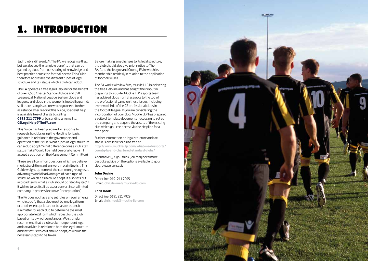## 1. Introduction

Each club is different. At The FA, we recognise that, but we also see the tangible benefits that can be gained by clubs from our sharing of knowledge and best practice across the football sector. This Guide therefore addresses the different tupes of legal structure and tax status which a club can adopt.

The FA operates a free legal Helpline for the benefit of over 7,500 Charter Standard Clubs and 350 Leagues; all National League System clubs and leagues, and clubs in the women's football pyramid; so if there is any issue on which you need further assistance after reading this Guide, specialist help is available free of charge by calling **0191 211 7799** or by sending an email to: **CSLegalHelp@TheFA.com**

This Guide has been prepared in response to requests by clubs using the Helpline for basic guidance in relation to the governance and operation of their club. What types of legal structure can a club adopt? What difference does a club's tax status make? Could I be held personally liable if I accept a position on the Management Committee?

These are all common questions which we believe merit straightforward answers in plain English. This Guide weighs up some of the commonly recognised advantages and disadvantages of each type of structure which a club could adopt. It also sets out in broad terms what a club should do 'step by step' if it wishes to set itself up as, or convert into, a limited company (a process known as 'incorporation').

The FA does not have any set rules or requirements which specify that a club must be one legal form or another, except it cannot be a sole trader. It is a matter for each club to determine the most appropriate legal form which is best for the club based on its own circumstances. We strongly recommend that a club seeks independent legal and tax advice in relation to both the legal structure and tax status which it should adopt, as well as the necessary steps to be taken.

Before making any changes to its legal structure, the club should also give prior notice to The FA, (and the league and County FA in which its membership resides), in relation to the application of football's rules.

The FA works with law firm, Muckle LLP, in delivering the free Helpline and has sought their input in preparing this Guide. Muckle LLP's sports team has advised clubs from grassroots to the top of the professional game on these issues, including over two thirds of the 92 professional clubs in the football league. If you are considering the incorporation of your club, Muckle LLP has prepared a suite of template documents necessary to set up the company and acquire the assets of the existing club which you can access via the Helpline for a fixed price.

Further information on legal structure and tax status is available for clubs free at

http://www.muckle-llp.com/what-we-do/sports/ county-fa-and-chartered-standard-clubs/

Alternatively, if you think you may need more bespoke advice on the options available to your club, please contact:

#### **John Devine**

Direct line: 0191211 7905 Email: john.devine@muckle-llp.com

#### **Chris Hook**

Direct line: 0191 211 7929 Email: chris.hook@muckle-llp.com

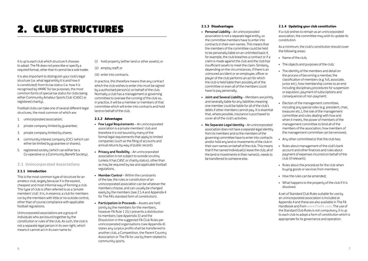## **2. CLUB STRUCTURES** 2.1.3 Disadvantages

It is up to each club which structure it chooses to adopt. The FA does not prescribe or specify a required format, other than it cannot be a sole trader.

It is also important to distinguish your club's legal structure (i.e. what legal entity it is and how it is constituted) from its tax status (i.e. how it is recognised by HMRC for tax purposes, the most common forms of special tax status for clubs being either Community Amateur Sports Club (CASC) or registered charity).

Football clubs can take one of several different legal structures, the most common of which are:

- 1. unincorporated association;
- 2. private company limited by guarantee;
- 3. private company limited by shares:
- 4. community interest company (CIC) (which can either be limited by guarantee or shares);
- 5. registered society (which can either be a Co-operative or a Community Benefit Society).

### **2.1 Unincorporated Associations**

#### **2.1.1 Introduction**

This is the most common type of structure for an amateur club, largely because it is the easiest. cheapest and most informal way of forming a club. This tupe of club is often referred to as a 'private' members' club'. It is, in essence, a club for members run by the members with little or no outside control, other than of course compliance with applicable football regulations.

Unincorporated associations are a group of individuals who are bound together by the constitution or rules of the club. As such, the club is not a separate legal person in its own right, which means it cannot act in its own name to:

(i) hold property (either land or other assets); or

### (ii) employ staff; or

#### (iii) enter into contracts.

In practice, this therefore means that any contract which the club wishes to enter into must be signed by a authorised person(s) on behalf of the club. Normally a club has a management or governing committee to oversee the running of the club so, in practice, it will be a member or members of that committee which will enter into contracts and hold land on behalf of the club.

#### **2.1.2 Advantages**

- Few Legal Requirements An unincorporated association is a private members' club and therefore it is not bound by many of the formal legal requirements that apply to limited companies (such as the filing of accounts and annual returns by way of public record).
- Privacy and flexibility An unincorporated association is not subject to outside scrutiny (unless it has CASC or charity status), other than as may be required by law and applicable football regulations.
- Member Control Within the constraints of the law, the rules or constitution of an unincorporated association can be whatever the members choose, and can usually be changed easily by the members (see 2.1.4 and Appendix 4 for The FA's standard form of constitution).
- Participation in Proceeds Assets are held jointly by the members for the members, however FA Rule **I** 2(c) prevents a distribution to members (see Appendix 3) and the Dissolution in the suggested FA Club Rules per unincorperated organisations (see Appendix 4) states any surplus profits shall be transferred to another club, a Competition, the Parent Country Association or The FA for use by them related to community sports.

- Personal Liability An unincorporated association is not a separate legal entity, so the committee members have to enter into contracts in their own names. This means that the members of the committee could be held to be personally liable on an unlimited basis if, for example, the club breaches a contract or if a claim is made against the club and the club has insufficient assets to meet the claim. Similarly, depending on the circumstances, if there is an uninsured accident or an employee, officer or player of the club performs an act for which the club is held liable then possibly all of the committee or even all of the members could have to pau personallu.
- Joint and Several Liability Members are jointly and severally liable for any liabilities meaning one member could be liable for all of the club's debts if other members cannot pay. It is essential that, where possible, insurance is purchased to cover all of the club's activities.
- No Separate Legal Identity An unincorporated association does not have a separate legal identity from its members and so the members of the governing committee have to enter into contracts and/or hold any land or investments of the club in their own names on behalf of the club. This means that if the named individual(s) leave the club, all of the land or investments in their name(s), needs to be transferred to someone else.

#### **2.1.4 Updating your club constitution**

If a club wishes to remain as an unincorporated association, the committee may wish to update its constitution.

As a minimum, the club's constitution should cover the following areas:

- • Name of the club;
- • The objects and purposes of the club;
- The identity of the members and detail on the process of becoming a member, the classification of members (e.g. full, associate, junior etc), how membership comes to an end including disciplinary procedures for suspension or expulsion, payment of subscriptions and consequences of non-payment;
- • Election of the management committee, including any special roles (e.g. president, chair, treasurer etc.), the role of the management committee and rules dealing with how and when it meets, the power of members of the management committee to bind all of the members of the association, how members of the management committee can be removed;
- Any other committee(s) that the club has:
- • Rules about management of the club's bank account and other finances and rules about payment of expenses incurred on behalf of the club (if relevant);
- • Rules about the procedure for the club when buying goods or services from members;
- • How the rules can be amended;
- What happens to the property of the club if it is dissolved.

A set of Standard Club Rules suitable for use by an unincorporated association is included at Appendix 4 and these are also available in The FA Handbook and from www.TheFA.com. The use of the Standard Club Rules is not compulsory, it is up to each club to adopt a form of constitution which is appropriate for its governance and operation.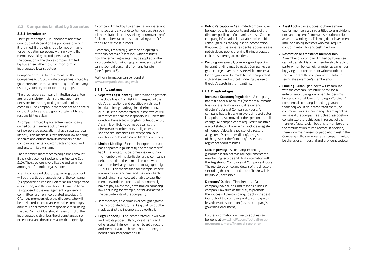### **2.2 Companies Limited by Guarantee**

#### **2.2.1 Introduction**

The tupe of company you choose to adopt for your club will depend on the purposes for which it is formed. If the club is to be formed primarily for participation purposes, with no view to the members seeking to profit personally from the operation of the club, a company limited by guarantee is the most common form of incorporated legal structure.

Companies are regulated primarily by the Companies Act 2006. Private companies limited by guarantee are the most common type of company used by voluntary or not-for-profit groups.

The directors of a company limited by guarantee are responsible for making the management decisions for the day-to-day operation of the company. The company's members act as a control on the directors and are given certain rights and responsibilities at law.

A company limited by guarantee is a company owned by its members but, unlike an unincorporated association, it has a separate legal identity. This means it is recognised in law as being separate and distinct from its members, so the company can enter into contracts and hold land and assets in its own name.

Each member guarantees to pay a small amount if the club becomes insolvent (e.g. tupically  $f1$  or £10). The structure is very flexible and common among not-for-profit organisations.

In an incorporated club, the governing document will be the articles of association of the company (as opposed to a constitution for an unincorporated association) and the directors will form the board (as opposed to the management or governing committee for an unincorporated association). Often the members elect the directors, who will be re-elected in accordance with the company's articles. The directors are responsible for running the club. No individual should have control of the incorporated club unless the circumstances are exceptional and the articles allow this expressly.

A company limited by guarantee has no shares and will not pay any dividends to its members. As such, it is not suitable for clubs seeking to turnover a profit for its members (as opposed to making a profit for the club to reinvest in itself).

A company limited by guarantee's property is often subject to an 'asset lock' which restricts how the remaining assets may be applied on the incorporated club winding up - members tupically cannot benefit personally from any transfer (see Appendix 3).

Further information can be found at www.companieshouse.gov.uk

#### **2.2.2 Advantages**

- Separate Legal Identity Incorporation protects the club's board from liability in respect of the club's transactions and activities which result in a claim being made against the incorporated club – it is the incorporated club itself which will, in most cases bear the responsibility (unless the directors have acted wrongfully or fraudulently). A claim is unlikely to be made against the directors or members personally unless the specific circumstances are exceptional, but directors should not assume blanket immunity.
- Limited Liability Since an incorporated club has a separate legal identity and the members' liability is limited, if it becomes insolvent then the members will not be liable for the company's debts other than the nominal amount which each member has guaranteed to pay, typically £1 or £10. This means that, for example, if there is an uninsured accident and the club is liable in such circumstances, but unable to pay, the members and the directors will not normally have to pay unless they have broken company law (including, for example, not having acted in the best interests of the company).
- • In most cases, if a claim is ever brought against the incorporated club, it is likely that it would be made against the incorporated club itself.
- Legal Capacitu The incorporated club will own and hold its property (land, investments and other assets) in its own name – board directors and members do not have to hold property on behalf of an incorporated club.
- Public Perception As a limited company it will be required to file accounts and details of the directors publicly at Companies House. Certain company information is available to the public (although clubs can request on incorporation that directors' personal residential addresses are not disclosed publicly) giving the incorporated club transparency to outsiders.
- $\bullet$  Funding As a result, borrowing and applying for grant funding may be easier. Companies can grant charges over their assets which means a loan or grant may be made to the incorporated club and secured without hindering the use of the club's assets in the meantime.

#### **2.2.3 Disadvantages**

- Increased Statutory Regulation A company has to file annual accounts (there are automatic fines for late filing), an annual return and directors' details at Companies House. A company has to file a form every time a director is appointed, is removed or their personal details change. All companies are required to maintain a set of statutory books which include a register of members' details, a register of directors, a register of secretaries (if any), a register of charges over the Company's assets and a register of board minutes.
- Lack of privacy  $-$  A company limited by guarantee is subject to legal requirements for maintaining records and filing information with the Registrar of Companies at Companies House. The registered office and details of the directors (including their name and date of birth) will also be publicly accessible.
- • Directors**'** Duties The directors of a company have duties and responsibilities in company law such as the duty to promote the success of the company, to act in the best interests of the company and to comply with its articles of association (i.e. the company's governing document).

Further information on Directors duties can be found at www.TheFA.com/football-rulesgovernance/more/financial-regulation

- Asset Lock Since it does not have a share capital, members are not entitled to any dividend nor can they benefit from a distribution of club assets on winding up. This may deter investment into the club by investors who may require control in return for any cash injection.
- • Restriction on transfer of membership A member of a company limited by guarantee cannot transfer his or her membership to a third party. A member can either resign as a member by giving the directors prior written notice or the directors of the company can resolve to terminate a member's membership.
- $\bullet$  Funding Although funders will be familiar with the company structure, some social enterprise or quasi-government funders may be less comfortable with funding an "ordinary" commercial company limited by guarantee than they would an incorporated charity or community interest company. This may not be an issue if the company's articles of association contain express restrictions in respect of the transfer of assets, distributions to members and the remuneration of its directors. In addition, there is no mechanism for people to invest in the Company in the same way as a company limited by shares or an industrial and provident society.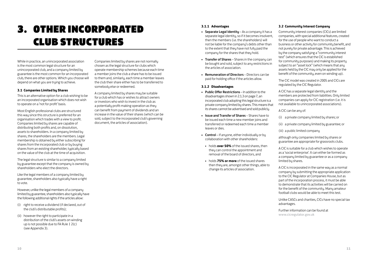## 3. Other Incorporated Club Structures

While in practice, an unincorporated association is the most common legal structure for an unincorporated club, and a company limited by guarantee is the most common for an incorporated club, there are other options. Which you choose will depend on what you are truing to achieve.

#### **3.1 Companies Limited by Shares**

This is an alternative option for a club wishing to be an incorporated organisation which does not wish to operate on a 'not for profit' basis.

Most English professional clubs are structured this way since this structure is preferred for an organisation which trades with a view to profit. Companies limited by shares are capable of distributing both profits and, on dissolution, assets to shareholders. In a company limited by shares, the shareholders are the members. Legal membership is obtained by either subscribing for shares from the incorporated club or bu buying shares from an existing shareholder, tupically based on the value of the club at the time of acquisition.

The legal structure is similar to a company limited by guarantee except that the company is owned by shareholders who elect the directors.

Like the legal members of a company limited by guarantee, shareholders also typically have a right to vote.

However, unlike the legal members of a company limited by guarantee, shareholders also typically have the following additional rights if the articles allow:

- (i) right to receive a dividend (if declared, out of the club's distributable profits);
- (ii) however the right to participate in a distribution of the club's assets on winding up is not possible due to FA Rule **I** 2(c) (see Appendix 3).

Companies limited by shares are not normally chosen as the legal structure for clubs which operate membership schemes because each time a member joins the club a share has to be issued to them and, similarly, each time a member leaves the club their share either has to be transferred to somebody else or redeemed.

A company limited by shares may be suitable for a club which has or wishes to attract owners or investors who wish to invest in the club as a potentially profit-making operation as they can benefit from payment of dividends and an increase in the value of their shares (which can be sold, subject to the incorporated club's governing document, the articles of association).

#### **3.1.1 Advantages**

- Separate Legal Identity As a company it has a separate legal identity, so if it becomes insolvent, then the members (i.e. the shareholders) will not be liable for the company's debts other than to the extent that they have not fully paid the company for the shares that they hold.
- Transfer of Shares Shares in the company can be bought and sold, subject to any restrictions in the articles of association.
- Remuneration of Directors Directors can be paid for holding office if the articles allow.

#### **3.1.2 Disadvantages**

- Public Offer Restrictions In addition to the disadvantages shown in 2.1.3 on page 7, an incorporated club adopting this legal structure is a private company limited by shares. This means that its shares cannot be advertised and sold publicly.
- Issue and Transfer of Shares Shares have to be issued each time a new member joins and transferred or redeemed each time a member leaves or dies.
- $Control If anuone, either individualu or bu$ collaboration with other shareholders:
- • holds **over 50%** of the issued shares, then they can control the appointment and removal of the board of directors, and
- • holds **75% or more** of the issued shares then they are, amongst other things, able to change its articles of association.

#### **3.2 Community Interest Company**

Community interest companies (CICs) are limited companies, with special additional features, created for the use of people who want to conduct a business or other activity for community benefit, and not purely for private advantage. This is achieved by the company satisfying a "community interest test" (which ensures that the CIC is established for community purposes) and making its property subject to an "asset lock" (which means that any assets held bu the CIC may only be applied for the benefit of the community, even on winding up).

The CIC model was created in 2005 and CICs are regulated by the CIC Regulator.

A CIC has a separate legal identity and the members are protected from liabilities. Only limited companies can apply for CIC registration (i.e. it is not available to unincorporated associations).

A CIC can be any of:

- (i) a private company limited by shares; or
- (ii) a private company limited by guarantee; or

(iii) a public limited company

although only companies limited by shares or guarantee are appropriate for grassroots clubs.

A CIC is suitable for a club which wishes to operate as a 'social enterprise'. It can either be formed as a company limited by guarantee or as a company limited by shares.

A CIC is incorporated in the same way as a normal company by submitting the appropriate application to the CIC Regulator at Companies House, but as part of the incorporation process, it must be able to demonstrate that its activities will be carried on for the benefit of the community. Many amateur football clubs would be able to meet this test.

Unlike CASCs and charities, CICs have no special tax advantages.

Further information can be found at www.cicregulator.gov.uk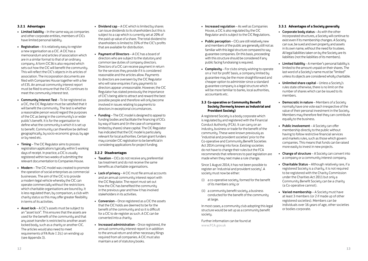#### **3.2.1 Advantages**

- $\bullet$  Limited liability In the same way as companies and other corporate entities, members of CICs have limited personal liability.
- $\bullet$  **Registration** It is relatively easy to register a new organisation as a CIC. A CIC has a memorandum and articles of association which are in a similar format to that of an ordinary company. A form CIC36 is also required which sets out how the CIC will benefit the community. This will reflect the CIC's objects in its articles of association. The incorporation documents are filed with Companies House together with a fee of £35. An annual community interest report must be filed to ensure that the CIC continues to meet the community interest test.
- Communitu Interest Test To be registered as a CIC, the CIC Regulator must be satisfied that it will benefit the community. The test is whether a reasonable person would regard the purposes of the CIC as being in the community's or wider public's benefit. It is for the organisation to define what the community is which it is set up to benefit. Community can therefore be defined geographically, by socio-economic group, by age or by need etc.
- $\bullet$  Timing The CIC Regulator aims to process registration applications typically within 5 working days of receipt. In practice, a CIC is usually registered within two weeks of submitting the relevant documentation to Companies House.
- Modern The CIC model was created to promote the operation of social enterprises as commercial businesses. The aim of the CIC is to provide a modern legal vehicle whereby the CIC can operate commercially without the restrictions which charitable organisations are bound by. It is less regulated than, by comparison, a club with charity status so this may offer greater flexibility in terms of its activities.
- Asset lock A CIC's assets must be subject to an "asset lock". This ensures that the assets are used for the benefit of the community and that any asset transfer is restricted to another assetlocked bodu, such as a charitu or another CIC. The articles would also need to meet requirements of FA Rule **I** 2(c) on winding up (see Appendix 3).
- Dividend  $\mathsf{cap} \mathsf{A}$  CIC which is limited by shares can issue dividends to its shareholders but this is subject to a cap which is currently set at 20% of the paid up value of a share. The total dividend to shareholders is limited to 35% of the CIC's profits that are available for distribution.
- Paument of Directors  $-$  A CIC has a board of directors who are subject to the statutoru and common law duties of company directors. Directors of a CIC can receive payment in return for the services they provide if it is considered reasonable and the articles allow. Payments to directors are overseen by the CIC Regulator who will raise enquiries if any payments to directors appear unreasonable. However, the CIC Regulator has stated previously the importance of CIC's being able to attract and reward the best possible people and therefore will only become involved in issues relating to payments to directors in exceptional circumstances.
- Funding The CIC model is designed to appeal to funding bodies and facilitate the financing of CICs by way of loans and (in the case of companies limited by shares) share capital. The CIC Regulator has indicated that the CIC model is particularly relevant for local authorities. Certain grant funders may consider CIC registration to be beneficial in considering applications for project funding.

#### **3.2.2 Disadvantages**

- Taxation CICs do not receive any preferential tax treatment and do not receive the same benefits as charitable organisations.
- Lack of privacy A CIC must file annual accounts and an annual community interest report with the CIC Regulator. The report must set out how the CIC has benefited the community in the previous year and how it has involved stakeholders in its activities.
- Conversion Once registered as a CIC the assets that the CIC holds are deemed to be for the benefit of the community and so it is difficult for a CIC to de-register as such. A CIC can be converted into a charity.
- Increased administration Once registered, the annual community interest report is in addition to the annual return and other necessary filings required from all companies. A CIC must also maintain a set of statutoru books.
- Increased regulation As well as Companies House, a CIC is also regulated by the CIC Regulator and is subject to the CIC Regulations.
- Public perception CICs are still relatively new and members of the public are generally still not as familiar with this legal structure compared to say guarantee companies. On this basis, proceeding with this structure should be considered if any public facing fundraising is required.
- Complexity For clubs simply wishing to operate on a 'not for profit' basis, a company limited by guarantee may be the more straightforward and cheaper option to administer since a standard guarantee company is a legal structure which will be more familiar to banks, local authorities, accountants etc.

#### **3.3 Co-operative or Community Benefit Society (formerly known as Industrial and Provident Society)**

A registered Society is a body corporate which is regulated by and registered with the Financial Conduct Authority (FCA). It can carry on an industry, business or trade for the benefit of the community. These were known previously as 'industrial and provident societies' prior to the Co-operative and Community Benefit Societies Act 2014 coming into force. Existing societies do not have to change their rules but the FCA recommends that references to past legislation are made when they next make a rule change.

Since 1 August 2014, it has not been possible to register an 'industrial and provident society'. A society must now be either:

- (i) a co-operative society, formed for the benefit of its members only; or
- (ii) a community benefit society, a business conducted for the benefit of the community at large.

In most cases, a community club adopting this legal structure would be set up as a community benefit societu.

Further information can be found at www.FCA.gov.uk

#### **3.3.1 Advantages of a Society generally**

- Corporate body status As with the other incorporated structures, a Society will continue to exist even if its membership changes. A Society can sue, be sued and own property and assets in its own name, without the need for trustees. All legal liabilities taken on bu the Societu are its liabilities (not the liabilities of its members).
- Limited liability A member's personal liability is limited to the amount unpaid on their shares. The last word of a Society's name must be "limited" unless its objects are considered wholly charitable.
- • Unlimited share capital Unless a Society's rules state otherwise, there is no limit on the number of shares which can be issued to its members.
- Democratic in nature Members of a Society normally have one vote each irrespective of the value of their personal investment in the Society. Members may therefore feel they can contribute equally to the business.
- Public involvement A Societu can offer membership directly to the public without having to follow restrictive financial services and markets rules, such as those which govern companies. This means that funds can be raised more easily to invest in new projects.
- Change of structure A Society can convert into a company or a community interest company.
- $\bullet$  **Charitable Status** Although relatively rare, if a registered Society is a charity, it is not required to be registered with the Charity Commission under the Charities Act 2011 but only a Community Benefit Society can be a charity (a Co-operative cannot).
- Varied membership A Society must have at least 3 members (or 2 if made up of other registered societies). Members can be individuals over 16 years of age, other societies or bodies corporate.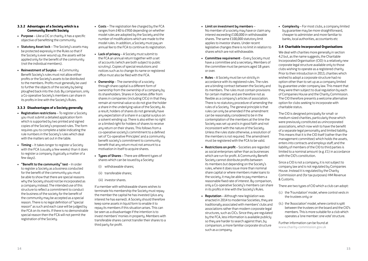#### **3.3.2 Advantages of a Society which is a Community Benefit Society**

- $\bullet$  Purpose Like a CIC or charity, it has a specific objective of benefitting the community.
- Statutory Asset lock The Society's assets may be protected expressly in the Rules so that if the Society is ever wound up, the assets will be applied only for the benefit of the community (not the individual members).
- Reinvestment of Surplus A Community Benefit Society's rules must not allow either profits or the Society's assets to be distributed to the members. Profits must generally be used to further the objects of the society by being ploughed back into the club. By comparison, only a Co-operative Societu's members can share in its profits in line with the Societu's Rules.

#### **3.3.3 Disadvantages of a Society generally**

- Registration restrictions To register a Society you must submit a detailed application form which is supported by two printed and signed copies of the Society's proposed rules. The form requires you to complete a table indicating the rule numbers in the Society's rules which deal with the matters set out in the table.
- $\bullet$  Timing It takes longer to register a Society with the FCA (usually a few weeks) than it does to register a company (typically a matter of a few days).
- "Benefit to the communitu" test In order to register a Society as a business conducted for the benefit of the community you must be able to show that there are special reasons why the Society should not be incorporated as a company instead. The intended use of this structure to reflect a commitment to conduct the business of the societu for the benefit of the community may be accepted as a special reason. There is no legal definition of "special reason" as such and each case will be judged by the FCA on its merits. If there is no demonstrable special reason then the FCA will not permit the registration of the Society.
- Costs The registration fee charged by the FCA ranges from £40 to £950 depending on whether model rules are adopted by the Society and the number of modifications which are made to the model rules. In addition, a Society must pay an annual fee to the FCA to continue its registration.
- Lack of privacy A Society must submit to the FCA an annual return together with a set of accounts (which are both subject to public scrutiny). Copies of special resolutions and notices such as to change its name or registered office must also be filed with the FCA.
- $\bullet$  Ownership The ownership of a society through share capital is a different form of ownership from the ownership of a company by its shareholders. Shares in Societies differ from shares in companies (including CICs) in that they remain at nominal value so do not give the holder a share in the underlying value of the Society. As a result, holders of shares do not generally have any expectation of a share in a capital surplus on a solvent winding up. There is also either no right or a limited right for holders of shares to receive any return on their shares. This follows from a co-operative society's commitment to a defined set of 'Co-operative Principles' and a community benefit societu's commitment to communitu benefit that any return must not amount to a motivation in itself to acquire shares.
- Types of Shares There are different types of shares which can be issued by a Society:
- (i) withdrawable shares;
- (ii) transferable shares;
- (iii) investor shares.

If a member with withdrawable shares wishes to terminate his membership the Society must repay the member the capital he has invested (plus any interest he has earned). A Societu should therefore keep some assets in liquid form to enable it to repay its members if this situation arises. This can be seen as a disadvantage if the intention is to invest members' monies in property. Members with transferable shares cannot transfer their shares to a third party for profit.

- Limit on investment bu members -No member of a society may have or claim any interest exceeding £100,000 in withdrawable shares. The same £100,000 statutory limit applies to investor shares. Under recent legislative changes there is no limit in relation to shares which are not withdrawable.
- Committee requirement Every Society must have a committee and a secretary. Members of the committee must be persons aged 18 years or over.
- $\bullet$  Rules A Society must be run strictly in accordance with its registered rules. The rules are a binding contract between the Societu and its members. The rules must contain provisions for certain matters and are therefore not as flexible as a company's articles of association. There is no statutory procedure of amending the rules of a Society. The general principle is that rules can only be amended if the amendment can be reasonably considered to be in the contemplation of the members at the time the Society was set up and is in good faith and not inconsistent with the nature of the Society. Unless the rules state otherwise, a resolution of the members is not required. The amendment must be registered with the FCA to be valid.
- Restrictions on profit Societies are regarded as social enterprises rather than as businesses which are run for profit. A Community Benefit Society cannot distribute profits between its members but depending on the Societu's rules, where it does issue more than nominal share capital or where members make loans to the society, it may be able to pay members a reasonable fixed rate of interest. By comparison, only a Co-operative Society's members can share in its profits in line with the Society's Rules.
- Reputation Although new legislation was enacted in 2014 to modernise Societies, they are traditionally associated with members' clubs and associations rather than modern corporate legal structures, such as CICs. Since they are regulated by the FCA, less information is available publicly so they are harder to search against than, by comparison, a more familiar corporate structure such as a company.

• Complexitu – For most clubs, a company limited bu guarantee may be more straightforward. cheaper to administer and more familiar to banks, local authorities, accountants etc

#### **3.4 Charitable Incorporated Organisations**

We deal with charities more generally in section 4.2 but, as the name suggests, the Charitable Incorporated Organisation (CIO) is a relatively new corporate legal structure available only to those clubs wishing to operate as a registered charity. Prior to their introduction in 2013, charities which wished to adopt a corporate structure had no option other than to set up as a company limited by guarantee under company law. This meant that they were then subject to dual regulation by each of Companies House and the Charity Commission. The CIO therefore presents a welcome alternative option for clubs seeking to incorporate with charitable status.

The CIO is designed principally for small- or medium-sized charities, particularly those which were previously constituted as unincorporated associations, which now wish to have the benefit of a separate legal personality and limited liability. This means that it is the CIO itself (rather than the management committee) which holds the assets, enters into contracts and employs staff; and the liability of members of the CIO to third parties is limited to a nominal amount (e.g. £1) in accordance with the CIO's constitution.

Since a CIO is not a company, it is not subject to company law and is not regulated by Companies House. Instead it is regulated by the Charity Commission and (for tax purposes) HM Revenue & Customs.

There are two types of CIO which a club can adopt:

- (i.) the 'Foundation' model, where control vests in the trustees only; or
- (ii.) the 'Association' model, where control is split between the trustees on the board and the CIO's members. This is more suitable for a club which operates a 'one member: one vote' structure.

Further information can be found at www.charity-commission.gov.uk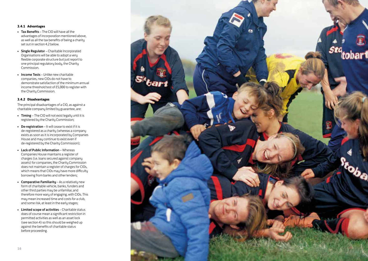#### **3.4.1 Advantages**

- Tax Benefits The CIO will have all the advantages of incorporation mentioned above, as well as all the tax benefits of being a charity set out in section 4.2 below.
- Single Regulator Charitable Incorporated Organisations will be able to adopt a very flexible corporate structure but just report to one principal regulatory body, the Charity Commission.
- Income Tests Unlike new charitable companies, new CIOs do not have to demonstrate satisfaction of the minimum annual income threshold test of £5,000 to register with the Charity Commission.

#### **3.4.2 Disadvantages**

The principal disadvantages of a CIO, as against a charitable company limited by guarantee, are:

- Timing The CIO will not exist legally until it is registered by the Charity Commission;
- De-registration It will cease to exist if it is de-registered as a charity (whereas a company exists as soon as it is incorporated by Companies House and may continue to exist even if de-registered by the Charity Commission);
- Lack of Public Information Whereas Companies House maintains a register of charges (i.e. loans secured against company assets) for companies, the Charity Commission does not maintain a register of charges for CIOs, which means that CIOs may have more difficulty borrowing from banks and other lenders;
- $\bullet$  Comparative Familiarity As a relatively new form of charitable vehicle, banks, funders and other third parties may be unfamiliar, and therefore more wary of engaging, with CIOs. This may mean increased time and costs for a club, and some risk, at least in the early stages;
- Limited scope of activities Charitable status does of course mean a significant restriction in permitted activities as well as an asset lock (see section 4) so this should be weighed up against the benefits of charitable status before proceeding.

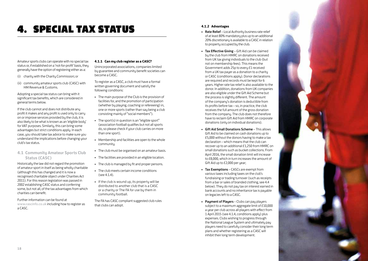## **4. SPECIAL TAX STATUS** All  $\frac{4.1.2 \text{ Advantages}}{4.1.2 \text{ Advantages}}$

Amateur sports clubs can operate with no special tax status or, if established on a 'not-for-profit' basis, they generally have the option of registering either as a:

- (i) charity with the Charity Commission; or
- (ii) community amateur sports club (CASC) with HM Revenue & Customs.

Adopting a special tax status can bring with it significant tax benefits, which are considered in general terms below.

If the club cannot and does not distribute any profit it makes and any profit is used only to carry on or improve services provided by the club, it is also likely to be what is known as an 'eligible body' for VAT purposes. Similarly, this can bring some advantages but strict conditions apply. In each case, you should take tax advice to make sure you understand the implications before changing your club's tax status.

### **4.1 Community Amateur Sports Club Status (CASC)**

Historically the law did not regard the promotion of amateur sport in itself as being wholly charitable (although this has changed and it is now a recognised charitable object under Charities Act 2011). For this reason legislation was passed in 2002 establishing CASC status and conferring some, but not all, of the tax advantages from which charities can benefit.

Further information can be found at www.cascinfo.co.uk including how to register as a CASC.

#### **4.1.1 Can my club register as a CASC?**

Unincorporated associations, companies limited by guarantee and community benefit societies can become a CASC.

To register as a CASC, a club must have a formal written governing document and satisfy the following conditions:

- • The main purpose of the Club is the provision of facilities for, and the promotion of participation (whether by playing, coaching or refereeing) in, one or more sports (rather than say being a club consisting mainly of "social members").
- The sport(s) in question is an "eligible sport" (association football qualifies but not all sports do, so please check if your club carries on more than one sport).
- Membership and facilities are open to the whole community.
- The club must be organised on an amateur basis.
- The facilities are provided in an eligible location.
- The club is managed by fit and proper persons.
- The club meets certain income conditions  $(sep 4.1.4)$ .
- • If the club is wound up, its property will be distributed to another club that is a CASC or a charity or The FA for use by them in community football.

The FA has CASC compliant suggested club rules that clubs can adopt.

- Rate Relief Local Authority business rate relief of at least 80% mandatory plus up to an additional 20% discretionary is available to a CASC in relation to property occupied by the club.
- Tax Effective Giving Gift Aid can be claimed by the club from HMRC on donations received from UK tax giving individuals to the club (but not on membership fees). This means the Government adds 25p to every £1 received from a UK tax payer as a donation to a charity or CASC (conditions apply). Donor declarations are required and records must be kept for 6 years. Higher rate tax relief is also available to the donor. In addition, donations from UK companies are also eligible under the Gift Aid Scheme but the process is slightly different. The amount of the company's donation is deductible from its profits before tax – so, in practice, the club receives the full amount of the gross donation from the company. The club does not therefore have to reclaim Gift Aid from HMRC on corporate donations (only on individual donations).
- Gift Aid Small Donations Scheme This allows Gift Aid to be claimed on cash donations up to £5,000 without the donors having to make a tax declaration – which means that the club can recover up to an additional £1,250 from HMRC on small donations such as bucket collections. From April 2016, the small donation limit will increase to £8,000, which in turn increases the amount of Gift Aid up to £2,000 per year;
- Tax Exemptions CASCs are exempt from various taxes including taxes on the club's fundraising or trading turnover (such as receipts from a bar or sales of branded clothing, see 4.4 below). They do not pay tax on interest earned in bank accounts and no inheritance tax is payable on legacies left to a CASC.
- Payment of Players Clubs can pay players subject to a maximum aggregate limit of £10,000 a year per club across all players with effect from 1 April 2015 (see 4.1.4, conditions apply) plus expenses. Clubs wishing to progress through the National League System and ultimately pay players need to carefully consider their long term plans and whether registering as a CASC will inhibit their long term development.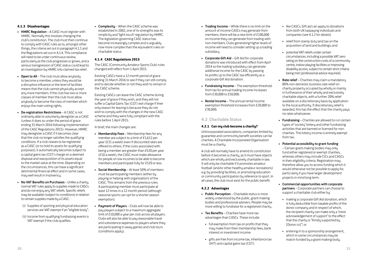#### **4.1.3 Disadvantages**

- HMRC Regulation A CASC must register with HMRC. Normally this involves changing the club's constitution. The club must then continue to comply with CASC rules as to, amongst other things, the criteria set out in paragraph 4.1.1 and the Regulations set out in 4.1.4. This compliance will need to be under continuous review, particularly as the club progresses or grows, and a serious transgression of CASC status could lead to an investigation by HMRC into claimed tax relief.
- $\bullet$  Open to All The club must allow anybody to become a member, unless they would be a disruptive influence or the level of facilities means that the club cannot physically accept any more members. If the club has two or more classes of member then the club must allow anybody to become the class of member which enjous the main voting rights.
- De-registration Restrictions A CASC is not ordinarily able to voluntarily deregister as a CASC (unless it does so under the period of grace ending 31 March 2016 following implementation of the CASC Regulations 2015). However, HMRC may deregister a CASC if it becomes clear that the club no longer satisfies the qualifying conditions. If a club ceases to be registered as a CASC (or to hold its assets for qualifuing purposes), it automatically becomes subject to a capital gains tax (CGT) charge on a deemed disposal and reacquisition of its assets equal to the market value at the time. Depending on the circumstances, this can have a significant detrimental financial effect and in some cases, may well result in insolvency.
- No VAT Benefits on Purchases Unlike a charitu. normal VAT rules apply to supplies made to CASCs and do not enjoy any VAT reliefs. Specific reliefs may be available (subject to conditions) in relation to certain supplies made by a CASC:
	- (i) Supplies of sporting and physical education services are VAT exempt if an "eligible body".
	- (ii) Income from qualifying fundraising events is VAT exempt if the club qualifies.

• Complexitu – When the CASC scheme was established in 2002, one of its strengths was its simplicity and 'light touch' regulation by HMRC. The legislation governing CASC status has become increasingly complex and is arguably now more complex than the equivalent rules on charitable status.

#### **4.1.4 CASC Regulations 2015**

The CASC (Community Amateur Sports Club) rules changed with effect from 1 April 2015.

Existing CASCs have a 12 month period of grace ending 31 March 2016 to see if they can still comply and to decide whether or not they wish to remain in the CASC scheme.

Existing CASCs can leave the CASC scheme during the year of grace if they wish, and they will not suffer a Capital Gains Tax (CGT) exit charge if their onlu reason for leaving is because they do not wish to comply with the changes in the new CASC scheme and they were fully compliant with the rules before 1 April 2015.

In brief, the main changes are:

- Membership Fees Membership fees for any member are subject to a limit of £1,612 per year (£31 a week) even if discounted rates are offered to others. If the costs associated with being a member are greater than £520 per year (£10 a week), the CASC must make allowance for people on low incomes to be able to become members and participate fully for £520 or less.
- Social Membership At least 50% of members must be participating members (either by playing or helping with organisation) of the CASC. This remains from the previous rules. A participating member must participate at least 12 times in a 12 month period (although seasonal sports can opt for a shorter season exemption).
- **Paument of Plauers** Clubs will now be able to pay players subject to a maximum aggregate limit of £10,000 a year per club across all players. Clubs will also be able to pay reasonable travel and subsistence expenses to players where they are participating in away games and club tours (conditions apply).
- Trading Income While there is no limit on the amount of income CASCs may generate from members, there will be a new limit of £100,000 on income they can generate from trading with non-members. Clubs generating higher levels of income will need to consider setting up a trading subsidiary.
- • Corporate Gift Aid Gift Aid for corporate donations was introduced with effect from April 2014 so the trading subsidiaru can generate additional income for the CASC bu passing its profits up to the CASC tax efficiently as a corporate Gift Aid donation.
- Fundraising Income The exemption threshold from tax for annual trading income increases from £30,000 to £50,000.
- Rental Income The annual rental income exemption threshold increases from £20,000 to £30,000.

### **4.2 Charitable Status**

#### **4.2.1 Can my club become a charity?**

Unincorporated associations, companies limited by guarantee and community benefit societies can be charities. A Charitable Incorporated Organisation must be a charity.

A club will normally have to amend its constitution before it becomes a charitu, as it must have objects which are wholly and exclusively charitable in law. It will only be charitable if it promotes amateur football (and/or other healthy amateur recreations) e.g. by providing facilities, or promoting education or community participation by reference to sport. In all cases, the club must exist for the public benefit.

#### **4.2.2 Advantages**

- Public Perception Charitable status is more widely understood by the public, grant-making bodies and professional advisers. People may be more willing to fundraise for a registered charity.
- Tax Benefits Charities have more tax advantages than CASCs. These include:
- $\bullet$  full exemption from tax on profits that they may make from their membership fees, bank interest or investment income
- • gifts are free from income tax, inheritance tax (IHT) and capital gains tax (CGT)
- like CASCs, Gift aid can apply to donations from both UK taxpaying individuals and companies (see 4.1.2 for details)
- • relief from stamp duty land tax on the acquisition of land and buildings; and
- • potential VAT reliefs under certain circumstances, including a possible VAT zero rating on the construction costs of a community centre, indoor playing facilities or improving disability access, subject to certain strict criteria being met (professional advice required).
- Rate relief Charities may claim a mandatory 80% non-domestic business rate relief on charity property occupied by wholly or mainly in furtherance of their wholly and exclusively charitable objects, with a further 20% relief available on a discretionary basis by application to the local authority. If discretionary relief is awarded, this has the effect that the charity pays no rates whatsoever.
- Fundraising Charities are allowed to run certain types of 'society' lottery and other fundraising activities that are banned or licensed for noncharities. The lotteru income is entirely exempt from tax.
- • Potential accessibility to grant funding

– Certain grant-making bodies may only fund either registered or exempt charities, whereas others may include CICs and CASCs in their eligibility criteria. Registration may therefore allow you to access funding which it would otherwise not be possible to apply for, particularly if you have larger development projects in mind long term.

- • Commercial opportunities with corporate partners – Corporate partners can choose to support a charitable club either by:
- making a corporate Gift Aid donation, which is fully deductible from taxable profits of the donor company and in respect of which, the recipient charitu can make only a 'mere' acknowledgement of support' to the effect that the charitu is "Kindlu supported bu [Donor co]"; or
- entering in to a sponsorship arrangement, which in some circumstances may be match-funded by a grant-making body.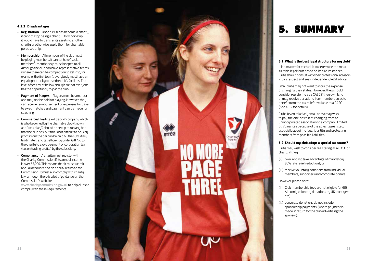- $\bullet$  **Registration** Once a club has become a charity. it cannot stop being a charity. On winding up, it would have to transfer its assets to another charity or otherwise apply them for charitable purposes only.
- Membership All members of the club must be playing members. It cannot have "social members". Membership must be open to all. Although the club can have 'representative' teams (where there can be competition to get into, for example, the first team), everybody must have an equal opportunity to use the club's facilities. The level of fees must be low enough so that everyone has the opportunity to join the club.
- Payment of Players Players must be amateur and may not be paid for playing. However, they can receive reimbursement of expenses for travel to away matches and payment can be made for coaching.
- Commercial Trading A trading company which is wholly owned by the charitable club (known as a 'subsidiary') should be set up to run any bar that the club has, but this is not difficult to do. Any profits from the bar can be paid by the subsidiary legitimately and tax efficiently under Gift Aid to the charity to avoid payment of corporation tax (tax on trading profits) by the subsidiary.
- Compliance A charity must register with the Charity Commission if its annual income is over £5,000. This means that it must submit annual accounts and an annual return to the Commission. It must also comply with charity law, although there is a lot of guidance on the Commission's website

www.charitucommission.gov.uk to help clubs to comply with these requirements.



#### **5.1 What is the best legal structure for my club?**

It is a matter for each club to determine the most suitable legal form based on its circumstances. Clubs should consult with their professional advisors in this respect and seek independent legal advice.

Small clubs may not want to incur the expense of changing their status. However, they should consider registering as a CASC if they own land or may receive donations from members so as to benefit from the tax reliefs available to a CASC (See 4.1.2 for details).

Clubs (even relatively small ones) may wish to pay the one-off cost of changing from an unincorporated association to a company limited by guarantee because of the advantages listed, especially acquiring legal identity and protecting members from possible liabilities.

#### **5.2 Should my club adopt a special tax status?**

Clubs may wish to consider registering as a CASC or charity if they:

- (i.) own land (to take advantage of mandatory 80% rate relief reduction); or
- (ii.) receive voluntary donations from individual members, supporters and corporate donors.

However, please note:

- (i.) Club membership fees are not eligible for Gift Aid (only voluntary donations by UK taxpayers are);
- (ii.) corporate donations do not include sponsorship payments (where payment is made in return for the club advertising the sponsor).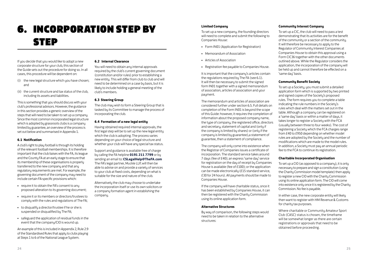## 6. Incorporation Step by **STEP**

If you decide that you would like to adopt a new corporate structure for your club, this section of the Guide sets out the procedure for doing so. In all cases, this procedure will be dependent on:

- (i) the new legal structure which you have chosen; and
- (ii) the current structure and tax status of the club, including its assets and liabilities.

This is something that you should discuss with your club's professional advisors. However, the guidance in this section provides a generic overview of the steps that will need to be taken to set up a company. Since the most common incorporated legal structure which is adopted by grassroots clubs is a company limited by guarantee, an overview of the process is set out below and summarised in Appendix 1.

#### **6.1 Notification**

A club's right to play football is through its holding of the relevant football memberships. It is therefore important that the club liaises with the FA, its league and the County FA at an early stage to ensure that its membership of these organisations is properly transferred to the new company and that any regulatory requirements are met. For example, the governing document of the company may need to include certain FA-specific provisions which:

- • require it to obtain the FA's consent to any proposed alteration to its governing document;
- • require it or its members or directors/trustees to comply with the rules and regulations of The FA;
- • to disqualify a director/trustee if he or she is suspended or disqualified by The FA;
- • safeguard the application of residual funds in the event that the company/CIO is wound up.

An example of this is included in Appendix 2, Rule 2.9 of the Standardised Rules that apply to clubs playing at Steps 1 to 6 of the National League System.

#### **6.2 Internal Clearance**

You will need to obtain any internal approvals required by the club's current governing document (constitution and/or rules) prior to establishing a new entity. This will differ from club to club and will need to be determined on a case by basis, but it is likely to include holding a general meeting of the club's members.

#### **6.3 Steering Group**

The club mau wish to form a Steering Group that is tasked by its Committee to manage the process of incorporating the club.

#### **6.4 Formation of a new legal entity**

Having obtained required internal approvals, the first legal step will be to set up the new legal entity which the club is adopting. The process varies depending on your choice of legal structure and whether your club will have any special tax status.

Support and guidance is available free of charge by calling the FA helpline **0191 211 7799** or by sending an email to: **CSLegalHelp@TheFA.com** The FA's legal partner, Muckle LLP, will then be able to advise on and provide a variety of services to your club at fixed costs, depending on what is suitable for the size and nature of the club.

Alternatively the club may choose to undertake the incorporation itself or use its own solicitors or a company formation agent in establishing the company.

To set up a new company, the founding directors will need to complete and submit the following to Companies House:

- Form IN01 (Application for Registration)
- • Memorandum of Association
- • Articles of Association
- Registration fee pauable to Companies House.

It is important that the company's articles contain the regulations required by The FA (see 6.1). It will then be necessary to submit the signed form IN01 together with a signed memorandum of association, articles of association and your payment.

The memorandum and articles of association are considered further under section 6.5. Full details on completion of the Form IN01 is beyond the scope of this Guide: however, it requires the completion of information about the proposed company name, the type of company, the registered office, directors and secretary, statement of capital and (only if the company is limited by shares) or (only if the company is limited by guarantee),a statement of guarantee, then a statement of compliance.

The company will only come into existence when the Registrar of Companies issues a certificate of incorporation. The standard service takes around 7 days (fee of £40); an express 'same day' service for registration on the day of receipt by Companies House is available (fee of £100); or the application can be made electronically (£15 standard service, £30 for 24 hours). All payments should be made to Companies House.

If the company will have charitable status, once it has been established by Companies House, it can then be registered with the Charity Commission using its online application form.

#### **Alternative Structures**

By way of comparison, the following steps would need to be taken in relation to the alternative structures:

#### **Community Interest Company**

To set up a CIC, the club will need to pass a test demonstrating that its activities are for the benefit of the community or a section of the community. It will therefore be necessary to apply to the Regulator of Community Interest Companies at Companies House to obtain this approval using a Form CIC36 together with the other documents outlined above. While the Regulator considers the application, the incorporation of the company will be held up and cannot therefore be effected on a 'same day' basis.

#### **Community Benefit Society**

To set up a Society, you must submit a detailed application form which is supported by two printed and signed copies of the Society's proposed rules. The form requires you to complete a table indicating the rule numbers in the Society's rules which deal with the matters set out in the table. Although a company can be registered on a 'same day' basis or within a matter of days, it takes longer to register a Societu with the FCA (usually between three to four weeks). The cost of registering a Society which the FCA charges range from £40 to £950 depending on whether model rules are adopted by the Society and the number of modifications which are made to the model rules. In addition, a Society must pay an annual periodic fee to the FCA to continue its registration.

#### **Charitable Incorporated Organisation**

To set up a CIO (as opposed to a company), it is only necessary to prepare and sign a constitution (using the Charity Commission model template) then apply to register a new CIO with the Charity Commission using its online application form. The CIO will come into existence only once it is registered by the Charity Commission. No fee is payable.

In either case, the new corporate entity will likely then want to register with HM Revenue & Customs for charity tax purposes.

Where charitable or Community Amateur Sport Club (CASC) status is chosen, the timeframe will be somewhat longer as there are certain registrations or approvals that need to be obtained before proceeding.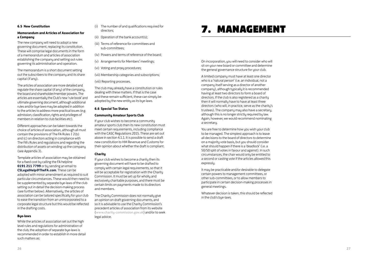#### **6.5 New Constitution**

#### **Memorandum and Articles of Association for a Company**

The new company will need to adopt a new governing document, replacing its constitution. These will comprise legal documents in the form of a memorandum and articles of association establishing the company and setting out rules governing its administration and operation.

The memorandum is a short document setting out the subscribers to the company and its share capital (if any).

The articles of association are more detailed and regulate the share capital (if any) of the company, the board and shareholder/member powers. The articles are essentially the Club's new 'rule book' and ultimate governing document, although additional rules and/or bue laws may be adopted in addition to the articles to address more practical issues (e.g. admission, classification, rights and privileges of members in relation to club facilities etc).

Different approaches can be taken towards the choice of articles of association, although all must contain the provisions of The FA Rules **I** 2(b) and (c) on directors acting in compliance with The FA's Rules and regulations and regarding the distribution of assets on winding up the company (see Appendix 3).

Template articles of association may be obtained for a fixed cost by calling the FA helpline **0191 211 7799** or by sending an email to **CSLegalHelp@TheFA.com**. These can be adopted with minor amendment as required to suit particular circumstances. These would then need to be supplemented by separate bye-laws of the club setting out in detail the decision-making process (see further below). Alternatively, the articles of association can be tailored specifically for your club to ease the transition from an unincorporated to a corporate legal structure but this would be reflected in the drafting costs.

#### **Bye-laws**

While the articles of association set out the high level rules and regulations for administration of the club, the adoption of separate bye-laws is recommended in order to establish in more detail such matters as:

- (i) The number of and qualifications required for directors;
- (ii) Operation of the bank account(s);
- (iii) Terms of reference for committees and sub-committees;
- (iv) Powers and terms of reference of the board;
- (v) Arrangements for Members' meetings;
- (vi) Voting and proxy procedures;
- (vii) Membership categories and subscriptions;

(viii) Reporting processes.

The club may already have a constitution or rules dealing with these matters. If that is the case and these remain sufficient, these can simply be adopted by the new entity as its bye-laws.

#### **6.6 Special Tax Status**

#### **Community Amateur Sports Club**

If your club wishes to become a community amateur sports club then its new constitution must meet certain requirements, including compliance with the CASC Regulations 2015. These are set out above in section 4.1.1. It is possible to send a draft new constitution to HM Revenue and Customs for their opinion about whether the draft is compliant.

#### **Charity**

If your club wishes to become a charity then its governing document will have to be drafted to comply with certain legal requirements, so that it will be acceptable for registration with the Charitu Commission. It must be set up for wholly and exclusively charitable purposes, and there must be certain limits on payments made to its directors and members.

The Charitu Commission does not normallu give an opinion on draft governing documents, and so it is advisable to use the Charity Commission's precedent articles of association from its website (www.charity-commission.gov.uk) and/or to seek legal advice.

### 7. MANAGEMEN

On incorporation, you will need to consider who will sit on your new board or committee and determine the general governance structure for your club.

A limited company must have at least one director who is a 'natural person' (i.e. an individual, not a company itself serving as a director of another company), although typically it is recommended having at least two directors to form a board of directors. If the club is also registered as a charity then it will normally have to have at least three directors (who will, in practice, serve as the charity's trustees). The company may also have a secretary, although this is no longer strictly required by law. Again, however, we would recommend nominating a secretary.

You are free to determine how you wish your club to be managed. The simplest approach is to leave all decisions to the board of directors to determine on a majority vote basis, but you should consider what should happen if there is a 'deadlock' (i.e. a 50/50 split of votes in favour and against). In such circumstances, the chair would only be entitled to a second or casting vote if the articles allowed this expressly.

It may be practicable and/or desirable to delegate certain powers to management committees, or other sub-committees, or to allow members to participate in certain decision-making processes in general meetings.

Whatever decision is taken, this should be reflected in the club's bye-laws.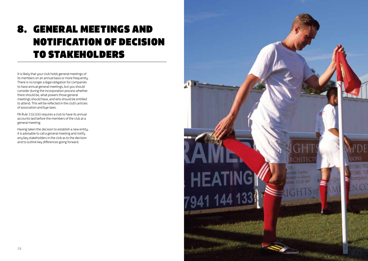## 8. General Meetings and notification of decision to stakeholders

It is likely that your club holds general meetings of its members on an annual basis or more frequently. There is no longer a legal obligation for companies to have annual general meetings, but you should consider during the incorporation process whether there should be, what powers those general meetings should have, and who should be entitled to attend. This will be reflected in the club's articles of association and bye-laws.

FA Rule **I**1(c)(iii) requires a club to have its annual accounts laid before the members of the club at a general meeting.

Having taken the decision to establish a new entity, it is advisable to call a general meeting and notify any key stakeholders in the club as to the decision and to outline key differences going forward.

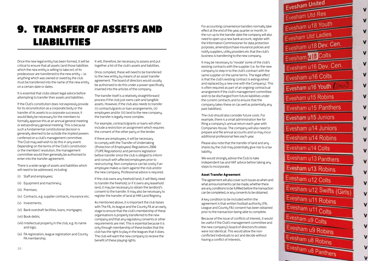### 9. T ran fer of assets and s **LIABILITIES**

Once the new legal entity has been formed, it will be critical to ensure that all assets (and those liabilities which the new entity is willing to take on) of its predecessor are transferred to the new entity – i.e. anything which was owned or owed by the club must be transferred into the name of the new entity on a certain date or dates.

It is essential that clubs obtain legal advice before attempting to transfer their assets and liabilities.

If the Club's constitution does not expressly provide for its reconstitution as a corporate body or the transfer of its assets to a corporate successor, it would likely be necessary for the members to formally approve this at an annual general meeting or extraordinary general meeting. This is because such a fundamental constitutional decision is generally deemed to be outside the implied powers conferred on a club's management committee. The Club may well wish to do this in any event. Depending on the terms of the Club's constitution or the members' resolution, the management committee would then generally be authorised to enter into the transfer agreement.

There is a wide range of assets and liabilities which will need to be addressed, including:

- (i) Staff and employees;
- (ii) Equipment and machinery;
- (iii) Premises;
- (iv) Contracts, e.g. supplier contracts, insurance etc;
- (v) Investments;
- (vi) Bank overdraft facilities, loans, mortgages;
- (vii) Book debts;
- (viii) Intellectual property in the club, e.g. its name and logo;
- (ix) FA registration, league registration and County FA membership.

It will, therefore, be necessary to assess and put together a list of the club's assets and liabilities.

Once compiled, these will need to be transferred to the new entity by means of an asset transfer agreement. The board of directors would usually be authorised to do this under a power specifically inserted into the articles of the company.

The transfer itself is a relatively straightforward process if the club just owns cash and tangible assets. However, if the club also needs to transfer (i) contracts/grants or loan arrangements, (ii) employees and/or (iii) land to the new company, the transfer is legally more complex.

For example, contracts/grants or loans will often include a restriction on assignment which requires the consent of the other party or the lender.

If there are employees, it will be necessary to comply with the Transfer of Undertaking (Protection of Employees) Regulations 2006 (TUPE Regulations) and pensions legislation before transfer since the club is obliged to inform and consult with affected employees prior to restructuring. Non-compliance can be costly if an employee makes a claim against the club and/or the new company. Professional advice is required.

If the club owns any freehold land, it will likely need to transfer the freehold; or if it owns any leasehold land, it may be necessary to obtain the landlord's consent to the transfer. It may also be necessary to register the transfer of land at HM Land Registry.

As mentioned above, it is important the club liaises with The FA, its league and the County FA at an early stage to ensure that the club's membership of these organisations is properly transferred to the new company and that any regulatory consents or other requirements are met. This is essential because it is only through membership of these bodies that the club has the right to play in the leagues that it does. The club will want the new company to receive the benefit of these playing rights.

For accounting convenience transfers normally take effect at the end of the year, quarter or month. In the run-up to the transfer date the company will also need to open up a new bank account, register with the Information Commissioner for data protection purposes, amend/purchase insurance policies and notify suppliers, utility providers etc that the club's business is transferring to the new company.

It may be necessary to 'novate' some of the club's existing contracts with the supplier (i.e. for the new company to step in to the club's contract with the same supplier on the same terms. The legal effect is that the club's existing contract is extinguished and replaced by a new one with the Company). This is often required as part of an ongoing contractual arrangement if the club's management committee wish to be discharged from future liabilities under the current contracts and to ensure that the company takes these on (as well as potentially any past liabilities).

The club should also consider future costs. For example, there is a small administration fee for filing a company's annual return each year with Companies House. The company will also need to prepare and file annual accounts and so may incur additional professional fees each year.

Please also note that the transfer of land and any shares by the club may potentially give rise to a tax liabilitu.

We would strongly advise the Club to take independent tax and VAT advice before taking any steps to incorporate.

#### **Asset Transfer Agreement**

The agreement will also cover such issues as when and what announcements can be made, whether there are any conditions to be fulfilled before the transaction can be completed, or any consents to be obtained.

A key condition to be included within the agreement is that written football authority (FA, League and County FA) consent has been obtained prior to the transaction being able to complete.

Because of the issue of conflicts of interest, it would be useful if the Club's management committee and the new company's board of directors/trustees were not identical. This would allow the nonconflicted individuals to act and decide without having a conflict of interests.

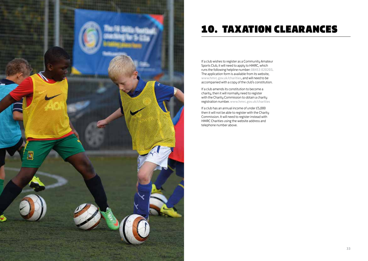

### 10. Taxation Clearances

If a club wishes to register as a Community Amateur Sports Club, it will need to apply to HMRC, which runs the following helpline number: 08453 020203. The application form is available from its website, www.hmrc.gov.uk/charities, and will need to be accompanied with a copy of the club's constitution.

If a club amends its constitution to become a charity, then it will normally need to register with the Charity Commission to obtain a charity registration number. www.hmrc.gov.uk/charities

If a club has an annual income of under £5,000 then it will not be able to register with the Charity Commission. It will need to register instead with HMRC Charities using the website address and telephone number above.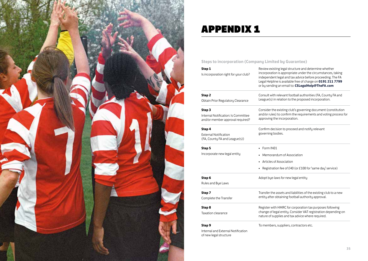

## App endix 1

of new legal structure

**Steps to incorporation (Company Limited by Guarantee)**

| Step 1<br>Is incorporation right for your club?                                   | Review existing legal structure and determine whether<br>incorporation is appropriate under the circumstances, taking<br>independent legal and tax advice before proceeding. The FA<br>Legal Helpline is available free of charge on 0191 211 7799<br>or by sending an email to: CSLegalHelp@TheFA.com |  |  |
|-----------------------------------------------------------------------------------|--------------------------------------------------------------------------------------------------------------------------------------------------------------------------------------------------------------------------------------------------------------------------------------------------------|--|--|
| Step <sub>2</sub><br>Obtain Prior Regulatory Clearance                            | Consult with relevant football authorities (FA, County FA and<br>League(s) in relation to the proposed incorporation.                                                                                                                                                                                  |  |  |
| Step 3<br>Internal Notification: Is Committee<br>and/or member approval required? | Consider the existing club's governing document (constitution<br>and/or rules) to confirm the requirements and voting process for<br>approving the incorporation.                                                                                                                                      |  |  |
| Step 4<br><b>External Notification</b><br>(FA, County FA and League(s))           | Confirm decision to proceed and notify relevant<br>governing bodies.                                                                                                                                                                                                                                   |  |  |
| Step 5                                                                            | • Form IN01                                                                                                                                                                                                                                                                                            |  |  |
| Incorporate new legal entity                                                      | Memorandum of Association                                                                                                                                                                                                                                                                              |  |  |
|                                                                                   | Articles of Association                                                                                                                                                                                                                                                                                |  |  |
|                                                                                   | Registration fee of £40 (or £100 for 'same day' service)                                                                                                                                                                                                                                               |  |  |
| Step 6<br>Rules and Bye Laws                                                      | Adopt bye-laws for new legal entity                                                                                                                                                                                                                                                                    |  |  |
| Step 7<br>Complete the Transfer                                                   | Transfer the assets and liabilities of the existing club to a new<br>entity after obtaining football authority approval.                                                                                                                                                                               |  |  |
| Step 8                                                                            | Register with HMRC for corporation tax purposes following                                                                                                                                                                                                                                              |  |  |
| Taxation clearance                                                                | change of legal entity. Consider VAT registration depending on<br>nature of supplies and tax advice where required.                                                                                                                                                                                    |  |  |
| Step 9                                                                            | To members, suppliers, contractors etc.                                                                                                                                                                                                                                                                |  |  |
| Internal and External Notification                                                |                                                                                                                                                                                                                                                                                                        |  |  |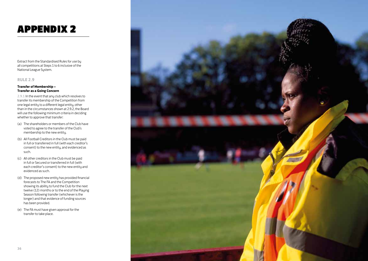Extract from the Standardised Rules for use by all competitions at Steps 1 to 6 inclusive of the National League System.

#### **RULE 2.9**

#### **Transfer of Membership – Transfer as a Going Concern**

2.9.1 In the event that any club which resolves to transfer its membership of the Competition from one legal entity to a different legal entity, other than in the circumstances shown at 2.9.2, the Board will use the following minimum criteria in deciding whether to approve that transfer:

- (a) The shareholders or members of the Club have voted to agree to the transfer of the Club's membership to the new entity.
- (b) All Football Creditors in the Club must be paid in full or transferred in full (with each creditor's consent) to the new entity, and evidenced as such.
- (c) All other creditors in the Club must be paid in full or Secured or transferred in full (with each creditor's consent) to the new entity and evidenced as such.
- (d) The proposed new entity has provided financial forecasts to The FA and the Competition showing its ability to fund the Club for the next twelve (12) months or to the end of the Playing Season following transfer (whichever is the longer) and that evidence of funding sources has been provided.
- (e) The FA must have given approval for the transfer to take place.

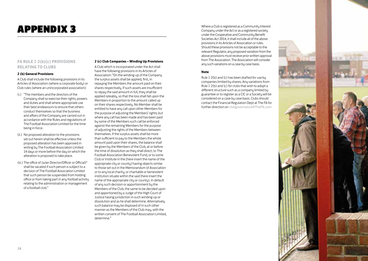## **APPENDIX 3**

### **FA RULE I 2(b)(c) PROVISIONS RELATING TO CLUBS**

#### **2 (b) General Provisions**

A Club shall include the following provisions in its Articles of Association (where a corporate body) or Club rules (where an unincorporated association):

- (i.) "The members and the directors of the Company shall so exercise their rights, powers and duties and shall where appropriate use their best endeavours to ensure that others conduct themselves so that the business and affairs of the Company are carried out in accordance with the Rules and regulations of The Football Association Limited for the time being in force.
- (ii.) No proposed alteration to the provisions set out herein shall be effective unless the proposed alteration has been approved in writing by The Football Association Limited 14 days or more before the day on which the alteration is proposed to take place.
- (iii.) The office of (a/an Director/Officer or Official)\* shall be vacated if such person is subject to a decision of The Football Association Limited that such person be suspended from holding office or from taking part in any football activity relating to the administration or management of a football club."

### **2 (c) Club Companies – Winding Up Provisions**

A Club which is incorporated under the Act shall have the following provisions in its Articles of Association: "On the winding-up of the Company the surplus assets shall be applied, first, in repaying the Members the amount paid on their shares respectively. If such assets are insufficient to repay the said amount in full, they shall be applied rateably, so that the loss shall fall upon the Members in proportion to the amount called up on their shares respectively. No Member shall be entitled to have any call upon other Members for the purpose of adjusting the Members' rights; but where any call has been made and has been paid by some of the Members such call be enforced against the remaining Members for the purpose of adjusting the rights of the Members between themselves. If the surplus assets shall be more than sufficient to pay to the Members the whole amount paid upon their shares, the balance shall be given by the Members of the Club, at or before the time of dissolution as they shall direct, to The Football Association Benevolent Fund, or to some Club or Institute in the [here insert the name of the appropriate city or county] having objects similar to those set out in the Memorandum of Association or to any local charity, or charitable or benevolent institution situate within the said [here insert the name of the appropriate city or county]. In default of any such decision or apportionment by the Members of the Club, the same to be decided upon and apportioned by a Judge of the High Court of Justice having jurisdiction in such winding-up or dissolution and as he shall determine. Alternatively such balance may be disposed of in such other manner as the Members of the Club may, with the written consent of The Football Association Limited, determine."

ENDIX 3<br>
ENDIX 3<br>
Under the Cooperative and Community Interest<br>
Under the Cooperative and Community Interest Company under the Act or as a registered society under the Cooperative and Community Benefit Societies Act 2014, it shall include all of the above provisions in its Articles of Association or rules. Should these provisions not be acceptable to the relevant Regulator, any proposed variation from the above provisions must receive prior written approval from The Association. The Association will consider any such variations on a case by case basis.

#### **Note**

Rule **I** 2(b) and (c) has been drafted for use by companies limited by shares. Any variations from Rule **I** 2(b) and (c) for clubs that wish to adopt a different structure such as a company limited by guarantee or to register as a CIC or a Society will be considered on a case by case basis. Clubs should contact the Financial Regulation Dept at The FA for further direction on clubgovernance@TheFA.com

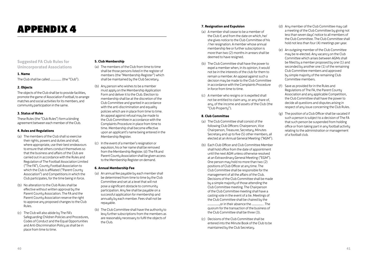## **APPENDIX 4 7. Resignation and Expulsion**

### **Suggested FA Club Rules for Unincorporated Associations**

#### **1. Name**

The Club shall be called ................ (the "Club").

#### **2. Objects**

The objects of the Club shall be to provide facilities, promote the game of Association Football, to arrange matches and social activities for its members, and community participation in the same.

#### **3. Status of Rules**

These Rules (the "Club Rules") form a binding agreement between each member of the Club.

#### **4. Rules and Regulations**

- (a) The members of the Club shall so exercise their rights, powers and duties and shall, where appropriate, use their best endeavours to ensure that others conduct themselves so that the business and affairs of the Club are carried out in accordance with the Rules and Regulation of The Football Association Limited ("The FA"), County Football Association to which the Club is affiliated ("Parent County Association") and Competitions in which the Club participates, for the time being in force.
- (b) No alteration to the Club Rules shall be effective without written approval by the Parent County Association. The FA and the Parent County Association reserve the right to approve any proposed changes to the Club Rules.
- (c) The Club will also abide by The FA's Safeguarding Children Policies and Procedures, Codes of Conduct and the Equal Opportunities and Anti-Discrimination Policy as shall be in place from time to time.

#### **5. Club Membership**

- (a) The members of the Club from time to time shall be those persons listed in the register of members (the "Membership Register") which shall be maintained by the Club Secretary.
- (b) Any person who wishes to be a member must apply on the Membership Application Form and deliver it to the Club. Election to membership shall be at the discretion of the Club Committee and granted in accordance with the anti-discrimination and equality policies which are in place from time to time. An appeal against refusal may be made to the Club Committee in accordance with the Complaints Procedure in place from time to time. Membership shall become effective upon an applicant's name being entered in the Membership Register.
- (c) In the event of a member's resignation or expulsion, his or her name shall be removed from the Membership Register. (d) The FA and Parent County Association shall be given access to the Membership Register on demand.

#### **6. Annual Membership Fee**

- (a) An annual fee payable by each member shall be determined from time to time by the Club Committee and set at a level that will not pose a significant obstacle to community participation. Any fee shall be payable on a successful application for membership and annually by each member. Fees shall not be repayable.
- (b) The Club Committee shall have the authority to levy further subscriptions from the members as are reasonably necessary to fulfil the objects of the Club.

- (a) A member shall cease to be a member of the Club if, and from the date on which, he/ she gives notice to the Club Committee of his / her resignation. A member whose annual membership fee or further subscription is more than two (2) months in arrears shall be deemed to have resigned.
- (b) The Club Committee shall have the power to expel a member when, in its opinion, it would not be in the interests of the club for them to remain a member. An appeal against such a decision may be made to the Club Committee in accordance with the Complaints Procedure in force from time to time.
- (c) A member who resigns or is expelled shall not be entitled to claim any, or any share of. any, of the income and assets of the Club (the "Club Property").

### **8. Club Committee**

- (a) The Club Committee shall consist of the following Club Officers: Chairperson, Vice Chairperson, Treasurer, Secretary, Minutes Secretary and up to five (5) other members, all elected at an Annual General Meeting ("AGM").
- (b) Each Club Officer and Club Committee Member shall hold office from the date of appointment until the next AGM unless otherwise resolved at an Extraordinary General Meeting ("EGM"). One person may hold no more than two (2) positions of Club Officer at any time. The Club Committee shall be responsible for the management of all the affairs of the Club. Decisions of the Club Committee shall be made by a simple majority of those attending the Club Committee meeting. The Chairperson of the Club Committee meeting shall have a casting vote in the event of a tie. Meetings of the Club Committee shall be chaired by the .................,or in their absence the ................ . The quorum for the transaction of the business of the Club Committee shall be three (3).
- (c) Decisions of the Club Committee shall be entered into the Minute Book of the Club to be maintained by the Club Secretary.
- (d) Any member of the Club Committee may call a meeting of the Club Committee by giving not less than seven days' notice to all members of the Club Committee. The Club Committee shall hold not less than four (4) meetings per year.
- (e) An outgoing member of the Club Committee may be re-elected. Any vacancy on the Club Committee which arises between AGMs shall be filled by a member proposed by one (1) and seconded by another one (1) of the remaining Club Committee members and approved by simple majority of the remaining Club Committee members.
- (f) Save as provided for in the Rules and Regulations of The FA, the Parent County Association and any applicable Competition, the Club Committee shall have the power to decide all questions and disputes arising in respect of any issue concerning the Club Rules.
- (g) The position of a Club Officer shall be vacated if such a person is subject to a decision of The FA that such person be suspended from holding office or from taking part in any football activity relating to the administration or management of a football club.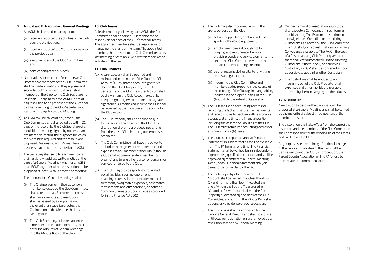#### **9. Annual and Extraordinary General Meetings**

(a) An AGM shall be held in each year to:

- (i) receive a report of the activities of the Club over the previous year;
- (ii) receive a report of the Club's finances over the previous year;
- (iii) elect members of the Club Committee; and
- (iv) consider any other business.
- (b) Nominations for election of members as Club Officers or as members of the Club Committee shall be made in writing by the proposer and seconder, both of whom must be existing members of the Club, to the Club Secretary not less than 21 days before the AGM. Notice of any resolution to be proposed at the AGM shall be given in writing to the Club Secretary not less than 21 days before the Meeting.
- $(c)$  An EGM may be called at any time by the Club Committee and shall be called within 21 days of the receipt by the Club Secretary of a requisition in writing, signed by not less than five members, stating the purposes for which the Meeting is required and the resolutions proposed. Business at an EGM may be any business that may be transacted at an AGM.
- (d) The Secretary shall send to each member at their last known address written notice of the date of a General Meeting (whether an AGM or an EGM) together with the resolutions to be proposed at least 14 days before the meeting.
- (e) The quorum for a General Meeting shall be
	- (i) The Chairperson, or in their absence a member selected by the Club Committee, shall take the chair. Each member present shall have one vote and resolutions shall be passed by a simple majority. In the event of an equality of votes, the Chairperson of the Meeting shall have a casting vote.
	- (ii) The Club Secretary, or in their absence a member of the Club Committee, shall enter the Minutes of General Meetings into the Minute Book of the Club.

#### **10. Club Teams**

At its first meeting following each AGM , the Club Committee shall appoint a Club member to be responsible for each of the Club's football teams. The appointed members shall be responsible for managing the affairs of the team. The appointed members shall present to the Club Committee at its last meeting prior to an AGM a written report of the activities of the team.

### **11. Club Finances**

- (a) A bank account shall be opened and maintained in the name of the Club (the "Club Account"). Designated account signatories shall be the Club Chairperson, the Club Secretary and the Club Treasurer. No sum shall be drawn from the Club Account except by cheque signed by two of the three designated signatories. All monies payable to the Club shall be received by the Treasurer and deposited in the Club Account.
- (b) The Club Property shall be applied only in furtherance of the objects of the Club. The distribution of profits or proceedings arising from the sale of Club Property to members is prohibited.
- (c) The Club Committee shall have the power to authorise the payment of remuneration and expenses to any member of the Club (although a Club shall not remunerate a member for playing) and to any other person or persons for services rendered to the Club.
- (d) The Club may provide sporting and related social facilities, sporting equipment, coaching, courses, insurance cover, medical treatment, away match expenses, post-match refreshments and other ordinary benefits of Community Amateur Sports Clubs as provided for in the Finance Act 2002.
- (e) The Club may also in connection with the sports purposes of the Club:
	- (i) sell and supply food, drink and related sports clothing and equipment;
	- (ii) employ members (although not for playing) and remunerate them for providing goods and services, on fair terms set by the Club Committee without the person concerned being present;
	- (iii) pay for reasonable hospitality for visiting teams and guests; and
	- (iv) indemnify the Club Committee and members acting properly in the course of the running of the Club against any liability incurred in the proper running of the Club (but only to the extent of its assets).
- (f) The Club shall keep accounting records for recording the fact and nature of all payments and receipts so as to disclose, with reasonable accuracy, at any time, the financial position, including the assets and liabilities of the Club. The Club must retain its accounting records for a minimum of six (6) years.
- (g) The Club shall prepare an annual "Financial Statement" in such format as shall be available from The FA from time to time. The Financial Statement shall be verified by an independent, appropriately qualified accountant and shall be approved by members at a General Meeting. A copy of any Financial Statement shall, on demand, be forwarded to The FA.
- (h) The Club Property, other than the Club Account, shall be vested in not less than two (2) and not more than four (4) custodians, one of whom shall be the Treasurer (the "Custodians"), who shall deal with the Club Property as directed by decisions of the Club Committee, and entry in the Minute Book shall be conclusive evidence of such a decision.
- (i) The Custodians shall be appointed by the Club in a General Meeting and shall hold office until death or resignation unless removed by a resolution passed at a General Meeting.
- (j) On their removal or resignation, a Custodian shall execute a Conveyance in such form as is published by The FA from time to time to a newly elected Custodian or the existing Custodians as directed by the Club Committee. The Club shall, on request, make a copy of any Conveyance available to The FA. On the death of a Custodian, any Club Property vested in them shall vest automatically in the surviving Custodians. If there is only one surviving Custodian, an EGM shall be convened as soon as possible to appoint another Custodian.
- (k) The Custodians shall be entitled to an indemnity out of the Club Property for all expenses and other liabilities reasonably incurred bu them in carruing out their duties.

#### **12. Dissolution**

A resolution to dissolve the Club shall only be proposed at a General Meeting and shall be carried by the majority of at least three-quarters of the members present.

The dissolution shall take effect from the date of the resolution and the members of the Club Committee shall be responsible for the winding up of the assets and liabilities of the Club.

Any surplus assets remaining after the discharge of the debts and liabilities of the Club shall be transferred to another Club, a Competition, the Parent County Association or The FA for use by them related to community sports.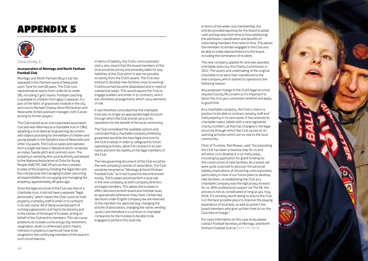

**Case study 1:** 

#### **Incorporation of Montagu and North Fenham Football Club**

Montagu and North Fenham Bous Club has operated in the Fenham ward of Newcastle upon Tune for over 60 years. The Club runs representative teams from under 6s to under 18s, including 5 girls' teams. Football coaching is available to children from aged 3 upwards. It is part of the fabric of grassroots football in the city and counts Michael Chopra, Kevin Richardson and Newcastle United assistant manager, John Carver, among its former players.

The Club started as an unincorporated association club and was reformed as a charitable trust in 1962, adopting a trust deed as its governing document, with objects providing for the welfare of children and young people in the Slatyford area of Newcastle and other city wards. The Club occupies and operates from a single site base in Slatyford which comprises an indoor 5aside pitch and common room. The property is owned by the Local Authority and leased to the National Association of Clubs for Young People (NACYP). NACYP acts as the custodian trustee of the property (holding the legal title) and the club became the managing trustee (assuming all responsibilities for occupying and managing the property) approximately 40 years ago.

Since the legal structure of the Club was that of a charitable trust, it did not have a separate "legal personality" which means the Club could not hold property or employ staff or enter in to contracts in its own name. All of these essential parts of running a grassroots club had to be done by and in the names of the board of trustees, acting on behalf of the Club and its members. This can cause problems as trustees come and go (by retirement, resignation, death or otherwise) which means interests in property in particular have to be assigned to the continuing members of the board in such circumstances.

In terms of liability, the Club's unincorporated status also meant that the board members of the Club would be jointly and severally liable for any liabilities of the Club which it was not possible to satisfy from the Club's assets. The Club also wished to develop new facilities since its existing Clubhouse had become dilapidated and in need of substantial repair. This would require the Club to engage builders and enter in to contracts, which are ultimately arrangements which carry elements of risk.

It was therefore concluded that the charitable trust was no longer an appropriate legal structure through which the Club should carry on its operations for the benefit of the local community.

The Club considered the available options and concluded that a charitable company limited by guarantee would be the best legal structure for the Club to adopt in order to safeguard its future operating activities, allow it to contract in its own name and limit the liability of the legal members of the Club.

The new governing document of the Club would be the new company's articles of association. The Club would be renamed as "Montagu & North Fenham Football Club," as it had in practice become known locally. The trustees would perform a dual role in the new company, as both company directors and legal members. This allows the trustees to effect decisions at both board and member level, as appropriate, whenever they meet. Certain key decisions under English company law are reserved to the members for approval (e.g. changing the articles of association, changing the name, winding up etc) and therefore it is common in charitable companies for the trustees to be able to be engaged to perform this dual role.

The MDIX 5 In terms of the wider club membership, the sand bue laws from time to time addres articles provided expressly for the board to adopt rules and bye laws from time to time addressing the admission, classification and benefits of subscribing members from time to time. This allows the members to remain engaged in the Club and be able to make representations to the board, including the nomination of trustees.

> The new company applied for and was awarded charitable status by the Charity Commission in 2012. The assets and undertaking of the original charitable trust were then transferred to the new company which started its operations the following season.

Any proposed change to the Club's legal structure requires County FA consent so it's important to factor this in to your conversion timeline and apply in good time.

As a charitable company, the Club is now in a position to be able to contract, employ staff and hold property in its own name. It has retained its charitable status (albeit with a new registered charity number), all that has changed is the legal structure through which the Club carries on its sporting activities which are so vital to the local community.

Chair of Trustees, Neil Rowan, said: "Incorporating the Club has been a massive step for us and will allow us to develop it in so many ways. including by application for grant funding for the construction of new facilities. As a board, we were quite surprised to discover the personal liability implications of remaining unincorporated, particularly in view of our future plans to develop new facilities, so establishing the Club as a charitable company was the logical way forward for us. With professional support via The FA, the process is not as complicated or long as you may think. It's certainly worth doing to ensure the Club is in the best possible place to improve the playing experience of local kids, as well as protect the board members who give up their time to run the Club free of charge."

For more information on this case study please contact Football Secretary at Montagu and North Fenham Football Club on 0191 275 0676 .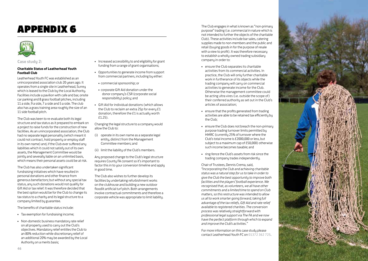### **APPENDIX 6**



**Case study 2:** 

#### **Charitable Status of Leatherhead Youth Football Club**

Leatherhead Youth FC was established as an unincorporated association club 20 years ago. It operates from a single site in Leatherhead, Surrey which is leased to the Club by the Local Authority. Facilities include a pavilion with cafe and bar, onsite car parking and 8 grass football pitches, including 11 a side, 9 a side, 7 a side and 5 a side. The club also has a grass training area roughly the size of an 11 side football pitch.

The Club was keen to re-evaluate both its legal structure and tax status as it prepared to embark on a project to raise funds for the construction of new facilities. As an unincorporated association, the Club had no separate legal personality (which meant it could not contract, hold property or employ staff in its own name) and, if the Club ever suffered any liabilities which it could not satisfu out of its own assets, the Management Committee would be jointly and severally liable on an unlimited basis, which means their personal assets could be at risk.

The Club has also undertaken significant fundraising initiatives which have resulted in personal donations and other finance from generous benefactors; but without any special tax status, any such donations would not qualify for Gift Aid or tax relief. It was therefore decided that the best option would be for the Club to change its tax status to a charity and its legal structure to a company limited by guarantee.

The benefits of charitable status include:

- Tax exemption for fundraising income:
- Non-domestic business mandatory rate relief on all property used to carry out the Club's objectives. Mandatory relief entitles the Club to an 80% reduction while discretionary relief of an additional 20% may be awarded by the Local Authority on a merits basis;
- Increased accessibility to and eligibility for grant funding from a range of grant organisations;
- • Opportunities to generate income from support from commercial partners, including by either:
- • commercial sponsorship; or
- • corporate Gift Aid donation under the donor company's CSR (corporate social responsibility) policy; and
- • Gift Aid for individual donations (which allows the Club to reclaim an extra 25p for every £1 donation, therefore the £1 is actually worth £1.25).

Changing the legal structure to a company would allow the Club to:

- (i) operate in its own name as a separate legal entity, distinct from the Management Committee members; and
- (ii) limit the liability of the Club's members.

Any proposed change to the Club's legal structure requires County FA consent so it's important to factor this in to your conversion timeline and apply in good time.

The Club also wishes to further develop its facilities by undertaking refurbishment works on the clubhouse and building a new outdoor floodlit artificial turf pitch. Both arrangements involve contractual commitments and therefore a corporate vehicle was appropriate to limit liability.

The Club engages in what is known as "non-primary<br>purpose" trading (i.e. commercial in nature which is<br>not intended to further the objects of the charitable purpose" trading (i.e. commercial in nature which is not intended to further the objects of the charitable Club). These activities include bar sales, catering supplies made to non-members and the public and retail (buying goods in for the purpose of resale with a view to profit). It was therefore necessary to establish a wholly-owned trading subsidiary company in order to:

- ensure the Club separates its charitable activities from its commercial activities. In practice, the Club will only further charitable work in furtherance of its objects while the trading company will carry on commercial activities to generate income for the Club. Otherwise the management committee could be acting ultra vires (i.e. outside the scope of) their conferred authority as set out in the Club's articles of association;
- ensure that the profits generated from trading activities are able to be retained tax efficiently by the Club;
- • ensure the Club does not breach the non-primary purpose trading turnover limits permitted by HMRC (currently 25% of turnover where the Club's total income is £2000,000 or less, but subject to a maximum cap of £50,000) otherwise such income becomes taxable; and
- • ring-fence the Club's assets from risk since the trading company trades independently.

Chair of Trustees, Dennis Crema, said, *"Incorporating the Club and achieving charitable status was a natural step for us to take in order to give the Club the best opportunity to improve both facilities and the players' football experience. We recognised that, as volunteers, we all have other commitments and a limited time to spend on Club matters, so this restructure was intended to allow us all to work smarter going forward, taking full advantage of the tax reliefs, Gift Aid and rate relief available to registered charities. The conversion process was relatively straightforward with professional legal support via The FA and we now have the perfect platform through which to expand and improve the Club's activities."*

For more information on this case study please contact Leatherhead Youth FC on 01372 362 725 .